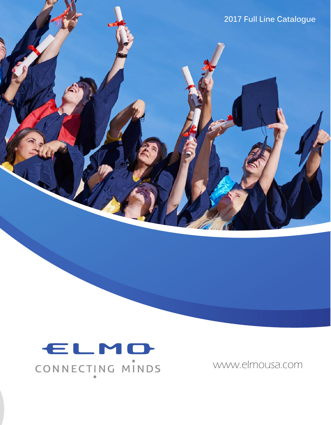**2017 Full Line Catalogue**

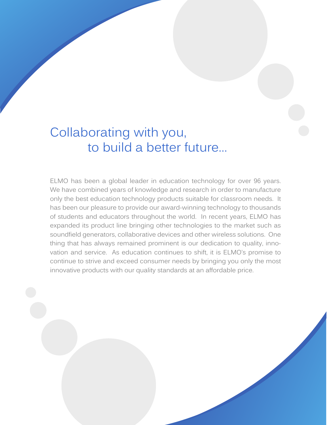### Collaborating with you, to build a better future...

ELMO has been a global leader in education technology for over 96 years. We have combined years of knowledge and research in order to manufacture only the best education technology products suitable for classroom needs. It has been our pleasure to provide our award-winning technology to thousands of students and educators throughout the world. In recent years, ELMO has expanded its product line bringing other technologies to the market such as soundfield generators, collaborative devices and other wireless solutions. One thing that has always remained prominent is our dedication to quality, innovation and service. As education continues to shift, it is ELMO's promise to continue to strive and exceed consumer needs by bringing you only the most innovative products with our quality standards at an affordable price.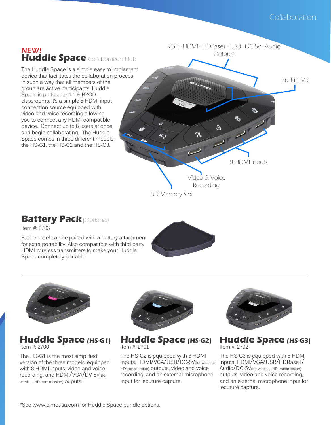

#### **Battery Pack** (Optional)

Item #: 2703

Each model can be paired with a battery attachment for extra portability. Also compatitble with third party HDMI wireless transmitters to make your Huddle Space completely portable.





#### **Huddle Space (HS-G1)** Item #: 2700 Item #: 2701 Item #: 2702

The HS-G1 is the most simplified version of the three models, equipped with 8 HDMI inputs, video and voice recording, and HDMI/VGA/DV-5V (for wireless HD transmission) OUDUtS.



Huddle Space (HS-G2)

The HS-G2 is equipped with 8 HDMI inputs, HDMI/VGA/USB/DC-5V(for wireless HD transmission) outputs, video and voice recording, and an external microphone input for lecuture capture.



Huddle Space (HS-G3)

The HS-G3 is equipped with 8 HDMI inputs, HDMI/VGA/USB/HDBaseT/ Audio/DC-5V(for wireless HD transmission) outputs, video and voice recording, and an external microphone input for lecuture capture.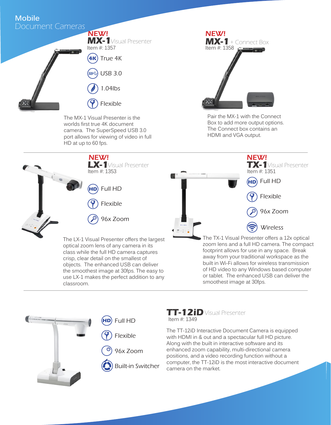#### Document Cameras **Mobile**



The MX-1 Visual Presenter is the worlds first true 4K document camera. The SuperSpeed USB 3.0 port allows for viewing of video in full HD at up to 60 fps.



Pair the MX-1 with the Connect Box to add more output options. The Connect box contains an HDMI and VGA output.





classroom.

**TT-12iD**Visual Presenter Item #: 1349

The TT-12iD Interactive Document Camera is equipped with HDMI in & out and a spectacular full HD picture. Along with the built in interactive software and its enhanced zoom capability, multi-directional camera positions, and a video recording function without a computer, the TT-12iD is the most interactive document camera on the market.

smoothest image at 30fps.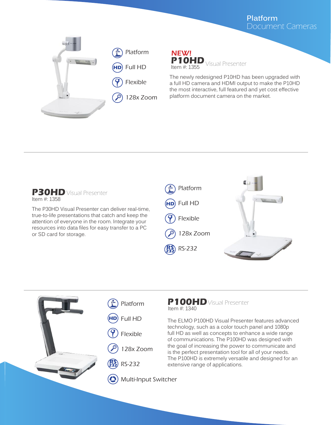#### Document Cameras **Platform**





The newly redesigned P10HD has been upgraded with a full HD camera and HDMI output to make the P10HD the most interactive, full featured and yet cost effective platform document camera on the market.



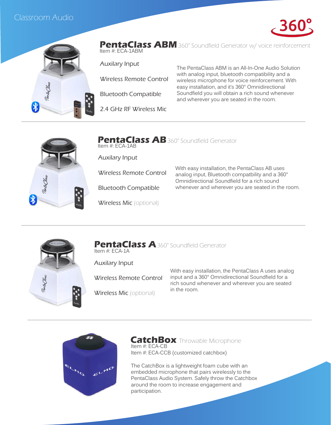#### Classroom Audio



**PentaClass ABM** 360° Soundfield Generator w/ voice reinforcement Item #: ECA-1ABM

Auxilary Input

Wireless Remote Control

Bluetooth Compatible

2.4 GHz RF Wireless Mic

The PentaClass ABM is an All-In-One Audio Solution with analog input, bluetooth compatibility and a wireless microphone for voice reinforcement. With easy installation, and it's 360° Omnidirectional Soundfield you will obtain a rich sound whenever and wherever you are seated in the room.



**PentaClass AB** 360° Soundfield Generator Item #: ECA-1AB

Auxilary Input

Wireless Remote Control

Bluetooth Compatible

Wireless Mic (optional)

With easy installation, the PentaClass AB uses analog input, Bluetooth compatbility and a 360° Omnidirectional Soundfield for a rich sound whenever and wherever you are seated in the room.



**PentaClass A**360° Soundfield Generator Item #: ECA-1A

Auxilary Input

Wireless Remote Control

Wireless Mic (optional)

With easy installation, the PentaClass A uses analog input and a 360° Omnidirectional Soundfield for a rich sound whenever and wherever you are seated in the room.



**CatchBox** Throwable Microphone Item #: ECA-CB Item #: ECA-CCB (customized catchbox)

The CatchBox is a lightweight foam cube with an embedded microphone that pairs wirelessly to the PentaClass Audio System. Safely throw the Catchbox around the room to increase engagement and participation.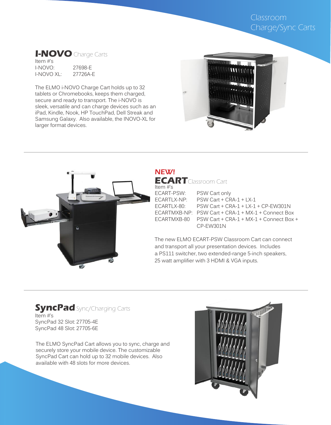#### Classroom Charge/Sync Carts

#### **I-NOVO** Charge Carts

Item #'s I-NOVO: 27698-E  $I-NOVO XI$ :

The ELMO i-NOVO Charge Cart holds up to 32 tablets or Chromebooks, keeps them charged, secure and ready to transport. The i-NOVO is sleek, versatile and can charge devices such as an iPad, Kindle, Nook, HP TouchPad, Dell Streak and Samsung Galaxy. Also available, the INOVO-XL for larger format devices.





**ECART**Classroom Cart Item #'s<br>ECART-PSW: PSW Cart only ECARTLX-NP: PSW Cart + CRA-1 + LX-1<br>ECARTLX-80: PSW Cart + CRA-1 + LX-1  $PSW$  Cart + CRA-1 + LX-1 + CP-EW301N ECARTMXB-NP: PSW Cart + CRA-1 + MX-1 + Connect Box  $PSW$  Cart + CRA-1 + MX-1 + Connect Box + CP-EW301N NEW!

The new ELMO ECART-PSW Classroom Cart can connect and transport all your presentation devices. Includes a PS111 switcher, two extended-range 5-inch speakers, 25 watt amplifier with 3 HDMI & VGA inputs.

#### **SyncPad** Sync/Charging Carts Item #'s SyncPad 32 Slot: 27705-4E SyncPad 48 Slot: 27705-6E

The ELMO SyncPad Cart allows you to sync, charge and securely store your mobile device. The customizable SyncPad Cart can hold up to 32 mobile devices. Also available with 48 slots for more devices.

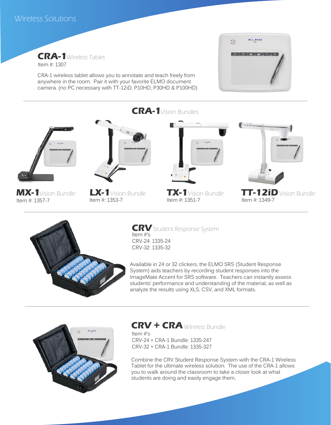**CRA-1**Wireless Tablet Item #: 1307

CRA-1 wireless tablet allows you to annotate and teach freely from anywhere in the room. Pair it with your favorite ELMO document camera. (no PC necessary with TT-12iD, P10HD, P30HD & P100HD)





**MX-1**Vision Bundle Item #: 1357-7









**LX-1**Vision Bundle **TX-1**Vision Bundle **TT-12iD** Vision Bundle **Internal Accord Strategies** 



**CRV**Student Response System Item #'s CRV-24: 1335-24 CRV-32: 1335-32

Available in 24 or 32 clickers, the ELMO SRS (Student Response System) aids teachers by recording student responses into the ImageMate Accent for SRS software. Teachers can instantly assess students' performance and understanding of the material, as well as analyze the results using XLS, CSV, and XML formats.



**CRV + CRA** Wireless Bundle

Item #'s CRV-24 + CRA-1 Bundle: 1335-247 CRV-32 + CRA-1 Bundle: 1335-327

Combine the CRV Student Response System with the CRA-1 Wireless Tablet for the ultimate wireless solution. The use of the CRA-1 allows you to walk around the classroom to take a closer look at what students are doing and easily engage them,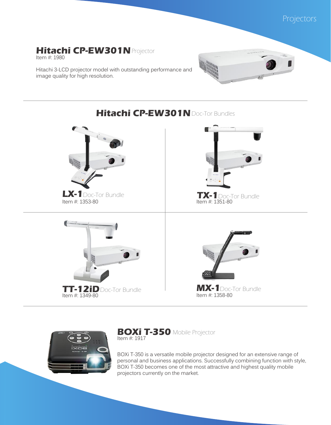

#### **Hitachi CP-EW301N**Projector

Item #: 1980

Hitachi 3-LCD projector model with outstanding performance and image quality for high resolution.



## **Hitachi CP-EW301N**Doc-Tor Bundles **LX-1** Doc-Tor Bundle **TT-12iD** Doc-Tor Bundle Doc-Tor Bundle **Doc-Tor Bundle MX-1** Doc-Tor Bundle **Item #: 1358-80** Item #: 1353-80 Item #: 1351-80  $Item #: 1349-80$



**BOXi T-350** Mobile Projector Item #: 1917

BOXi T-350 is a versatile mobile projector designed for an extensive range of personal and business applications. Successfully combining function with style, BOXi T-350 becomes one of the most attractive and highest quality mobile projectors currently on the market.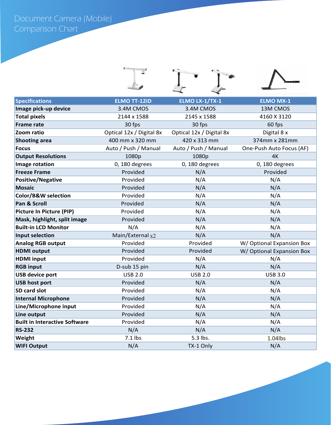Document Camera (Mobile) Comparison Chart

| <b>Specifications</b>                | <b>ELMO TT-12iD</b>      | <b>ELMO LX-1/TX-1</b>    | <b>ELMO MX-1</b>          |
|--------------------------------------|--------------------------|--------------------------|---------------------------|
| Image pick-up device                 | 3.4M CMOS                | 3.4M CMOS                | 13M CMOS                  |
| <b>Total pixels</b>                  | 2144 x 1588              | 2145 x 1588              | 4160 X 3120               |
| <b>Frame rate</b>                    | 30 fps                   | 30 fps                   | 60 fps                    |
| Zoom ratio                           | Optical 12x / Digital 8x | Optical 12x / Digital 8x | Digital 8 x               |
| <b>Shooting area</b>                 | 400 mm x 320 mm          | 420 x 313 mm             | 374mm x 281mm             |
| <b>Focus</b>                         | Auto / Push / Manual     | Auto / Push / Manual     | One-Push Auto Focus (AF)  |
| <b>Output Resolutions</b>            | 1080p                    | 1080p                    | 4K                        |
| Image rotation                       | 0, 180 degrees           | 0, 180 degrees           | 0, 180 degrees            |
| <b>Freeze Frame</b>                  | Provided                 | N/A                      | Provided                  |
| <b>Positive/Negative</b>             | Provided                 | N/A                      | N/A                       |
| <b>Mosaic</b>                        | Provided                 | N/A                      | N/A                       |
| Color/B&W selection                  | Provided                 | N/A                      | N/A                       |
| Pan & Scroll                         | Provided                 | N/A                      | N/A                       |
| <b>Picture In Picture (PIP)</b>      | Provided                 | N/A                      | N/A                       |
| Mask, highlight, split image         | Provided                 | N/A                      | N/A                       |
| <b>Built-in LCD Monitor</b>          | N/A                      | N/A                      | N/A                       |
| Input selection                      | Main/External $x2$       | N/A                      | N/A                       |
| <b>Analog RGB output</b>             | Provided                 | Provided                 | W/ Optional Expansion Box |
| <b>HDMI</b> output                   | Provided                 | Provided                 | W/Optional Expansion Box  |
| <b>HDMI</b> input                    | Provided                 | N/A                      | N/A                       |
| <b>RGB input</b>                     | D-sub 15 pin             | N/A                      | N/A                       |
| <b>USB device port</b>               | <b>USB 2.0</b>           | <b>USB 2.0</b>           | <b>USB 3.0</b>            |
| <b>USB host port</b>                 | Provided                 | N/A                      | N/A                       |
| SD card slot                         | Provided                 | N/A                      | N/A                       |
| <b>Internal Microphone</b>           | Provided                 | N/A                      | N/A                       |
| Line/Microphone input                | Provided                 | N/A                      | N/A                       |
| Line output                          | Provided                 | N/A                      | N/A                       |
| <b>Built in Interactive Software</b> | Provided                 | N/A                      | N/A                       |
| <b>RS-232</b>                        | N/A                      | N/A                      | N/A                       |
| Weight                               | $7.1$ lbs                | 5.3 lbs.                 | 1.04lbs                   |
| <b>WIFI Output</b>                   | N/A                      | TX-1 Only                | N/A                       |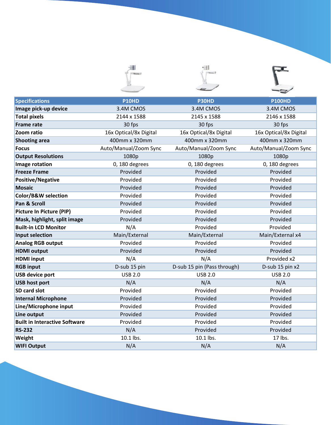| <b>Specifications</b>                | <b>P10HD</b>           | P30HD                       | <b>P100HD</b>          |
|--------------------------------------|------------------------|-----------------------------|------------------------|
| Image pick-up device                 | 3.4M CMOS              | 3.4M CMOS                   | 3.4M CMOS              |
| <b>Total pixels</b>                  | 2144 x 1588            | 2145 x 1588                 | 2146 x 1588            |
| <b>Frame rate</b>                    | 30 fps                 | 30 fps                      | 30 fps                 |
| Zoom ratio                           | 16x Optical/8x Digital | 16x Optical/8x Digital      | 16x Optical/8x Digital |
| <b>Shooting area</b>                 | 400mm x 320mm          | 400mm x 320mm               | 400mm x 320mm          |
| <b>Focus</b>                         | Auto/Manual/Zoom Sync  | Auto/Manual/Zoom Sync       | Auto/Manual/Zoom Sync  |
| <b>Output Resolutions</b>            | 1080p                  | 1080p                       | 1080p                  |
| Image rotation                       | 0, 180 degrees         | 0, 180 degrees              | 0, 180 degrees         |
| <b>Freeze Frame</b>                  | Provided               | Provided                    | Provided               |
| <b>Positive/Negative</b>             | Provided               | Provided                    | Provided               |
| <b>Mosaic</b>                        | Provided               | Provided                    | Provided               |
| Color/B&W selection                  | Provided               | Provided                    | Provided               |
| Pan & Scroll                         | Provided               | Provided                    | Provided               |
| Picture In Picture (PIP)             | Provided               | Provided                    | Provided               |
| Mask, highlight, split image         | Provided               | Provided                    | Provided               |
| <b>Built-in LCD Monitor</b>          | N/A                    | Provided                    | Provided               |
| Input selection                      | Main/External          | Main/External               | Main/External x4       |
| <b>Analog RGB output</b>             | Provided               | Provided                    | Provided               |
| <b>HDMI</b> output                   | Provided               | Provided                    | Provided               |
| <b>HDMI</b> input                    | N/A                    | N/A                         | Provided x2            |
| <b>RGB input</b>                     | D-sub 15 pin           | D-sub 15 pin (Pass through) | D-sub 15 pin x2        |
| <b>USB device port</b>               | <b>USB 2.0</b>         | <b>USB 2.0</b>              | <b>USB 2.0</b>         |
| <b>USB host port</b>                 | N/A                    | N/A                         | N/A                    |
| SD card slot                         | Provided               | Provided                    | Provided               |
| <b>Internal Microphone</b>           | Provided               | Provided                    | Provided               |
| Line/Microphone input                | Provided               | Provided                    | Provided               |
| Line output                          | Provided               | Provided                    | Provided               |
| <b>Built in Interactive Software</b> | Provided               | Provided                    | Provided               |
| <b>RS-232</b>                        | N/A                    | Provided                    | Provided               |
| Weight                               | 10.1 lbs.              | 10.1 lbs.                   | 17 lbs.                |
| <b>WIFI Output</b>                   | N/A                    | N/A                         | N/A                    |